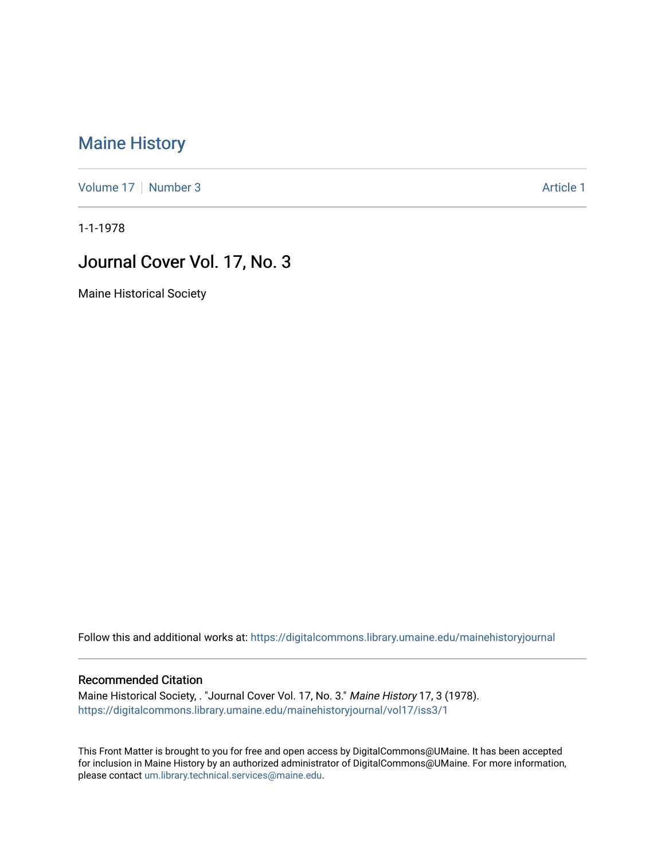## [Maine History](https://digitalcommons.library.umaine.edu/mainehistoryjournal)

[Volume 17](https://digitalcommons.library.umaine.edu/mainehistoryjournal/vol17) | [Number 3](https://digitalcommons.library.umaine.edu/mainehistoryjournal/vol17/iss3) Article 1

1-1-1978

## Journal Cover Vol. 17, No. 3

Maine Historical Society

Follow this and additional works at: [https://digitalcommons.library.umaine.edu/mainehistoryjournal](https://digitalcommons.library.umaine.edu/mainehistoryjournal?utm_source=digitalcommons.library.umaine.edu%2Fmainehistoryjournal%2Fvol17%2Fiss3%2F1&utm_medium=PDF&utm_campaign=PDFCoverPages) 

## Recommended Citation

Maine Historical Society, . "Journal Cover Vol. 17, No. 3." Maine History 17, 3 (1978). [https://digitalcommons.library.umaine.edu/mainehistoryjournal/vol17/iss3/1](https://digitalcommons.library.umaine.edu/mainehistoryjournal/vol17/iss3/1?utm_source=digitalcommons.library.umaine.edu%2Fmainehistoryjournal%2Fvol17%2Fiss3%2F1&utm_medium=PDF&utm_campaign=PDFCoverPages)

This Front Matter is brought to you for free and open access by DigitalCommons@UMaine. It has been accepted for inclusion in Maine History by an authorized administrator of DigitalCommons@UMaine. For more information, please contact [um.library.technical.services@maine.edu.](mailto:um.library.technical.services@maine.edu)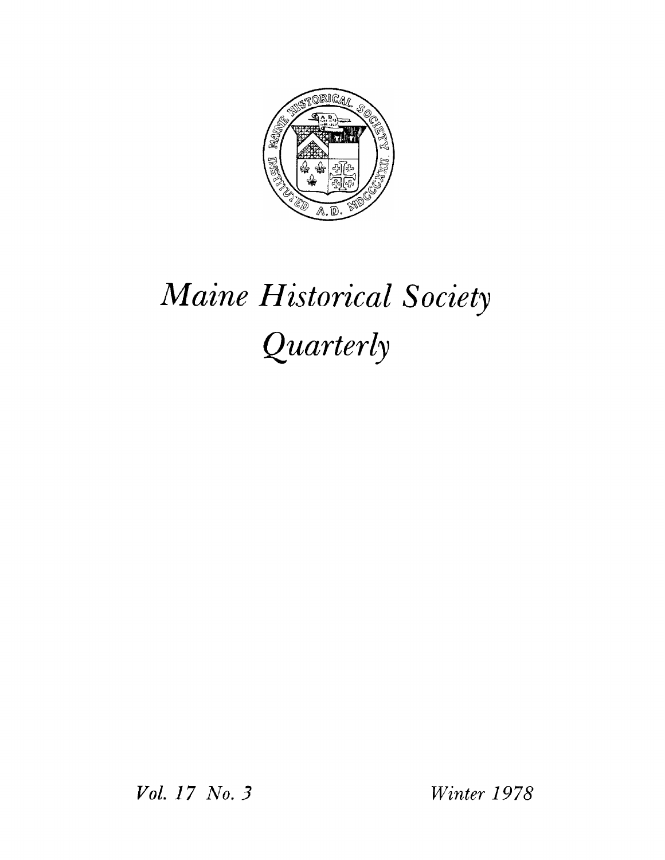

## *Maine Historical Society Quarterly*